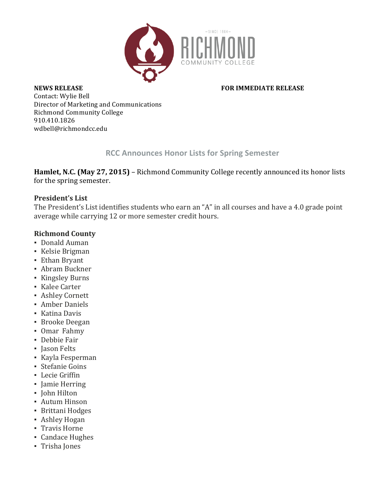

#### **NEWS RELEASE** *NEWS RELEASE NEWS RELEASE*

Contact: Wylie Bell Director of Marketing and Communications Richmond Community College 910.410.1826 wdbell@richmondcc.edu

## **RCC Announces Honor Lists for Spring Semester**

Hamlet, N.C. (May 27, 2015) – Richmond Community College recently announced its honor lists for the spring semester.

#### **President's List**

The President's List identifies students who earn an "A" in all courses and have a 4.0 grade point average while carrying 12 or more semester credit hours.

## **Richmond County**

- Donald Auman
- Kelsie Brigman
- **Ethan Bryant**
- **Abram Buckner**
- Kingsley Burns
- Kalee Carter
- **Ashley Cornett**
- **Amber Daniels**
- Katina Davis
- **•** Brooke Deegan
- Omar Fahmy
- **•** Debbie Fair
- Jason Felts
- Kayla Fesperman
- Stefanie Goins
- **•** Lecie Griffin
- Jamie Herring
- John Hilton
- **Autum Hinson**
- **Brittani Hodges**
- **Ashley Hogan**
- **Travis Horne**
- Candace Hughes
- Trisha Jones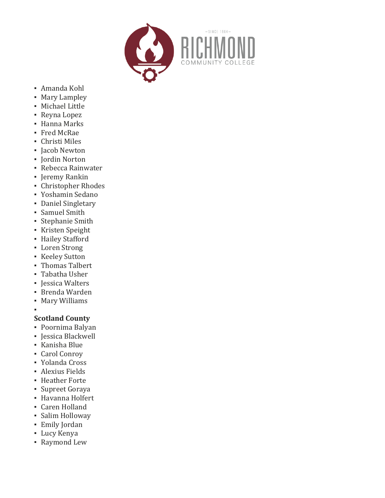

- Amanda Kohl
- **Mary Lampley**
- **·** Michael Little
- Reyna Lopez
- Hanna Marks
- Fred McRae
- Christi Miles
- **Jacob Newton**
- Jordin Norton
- **Rebecca Rainwater**
- **•** Jeremy Rankin
- **Christopher Rhodes**
- Yoshamin Sedano
- Daniel Singletary
- Samuel Smith
- Stephanie Smith
- **·** Kristen Speight
- **·** Hailey Stafford
- Loren Strong
- **Keeley Sutton**
- Thomas Talbert
- Tabatha Usher
- Jessica Walters
- Brenda Warden
- Mary Williams

# **Scotland County**

▪

- Poornima Balyan
- Jessica Blackwell
- Kanisha Blue
- Carol Conroy
- Yolanda Cross
- **Alexius Fields**
- **· Heather Forte**
- Supreet Goraya
- Havanna Holfert
- Caren Holland
- Salim Holloway
- Emily Jordan
- Lucy Kenya
- **Raymond Lew**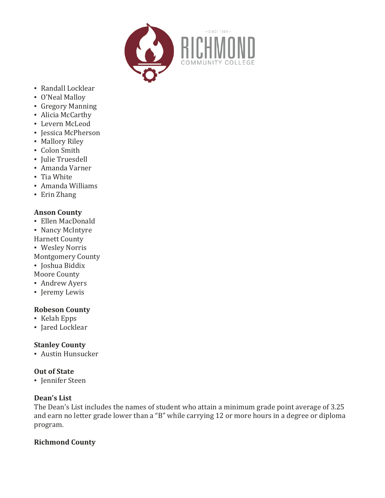

- Randall Locklear
- O'Neal Malloy
- Gregory Manning
- Alicia McCarthy
- Levern McLeod
- **·** Jessica McPherson
- **Mallory Riley**
- Colon Smith
- Julie Truesdell
- Amanda Varner
- Tia White
- Amanda Williams
- Erin Zhang

## **Anson County**

- Ellen MacDonald
- Nancy McIntyre
- **Harnett County**
- Wesley Norris
- **Montgomery County**
- **·** Joshua Biddix
- Moore County
- Andrew Ayers
- **·** Jeremy Lewis

## **Robeson County**

- Kelah Epps
- **·** Jared Locklear

## **Stanley County**

**• Austin Hunsucker** 

## **Out of State**

**·** Jennifer Steen

## **Dean's List**

The Dean's List includes the names of student who attain a minimum grade point average of 3.25 and earn no letter grade lower than a "B" while carrying 12 or more hours in a degree or diploma program.

## **Richmond County**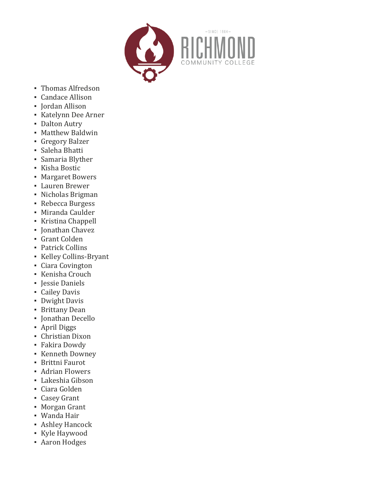

- Thomas Alfredson
- Candace Allison
- **·** Jordan Allison
- Katelynn Dee Arner
- Dalton Autry
- **Matthew Baldwin**
- **Gregory Balzer**
- Saleha Bhatti
- Samaria Blyther
- Kisha Bostic
- Margaret Bowers
- Lauren Brewer
- Nicholas Brigman
- Rebecca Burgess
- Miranda Caulder
- Kristina Chappell
- Jonathan Chavez
- Grant Colden
- Patrick Collins
- Kelley Collins-Bryant
- Ciara Covington
- **·** Kenisha Crouch
- **•** Jessie Daniels
- Cailey Davis
- **•** Dwight Davis
- **·** Brittany Dean
- **·** Jonathan Decello
- April Diggs
- **Christian Dixon**
- **Fakira Dowdy**
- Kenneth Downey
- **Brittni Faurot**
- Adrian Flowers
- Lakeshia Gibson
- Ciara Golden
- Casey Grant
- **Morgan Grant**
- Wanda Hair
- **Ashley Hancock**
- Kyle Haywood
- **Aaron Hodges**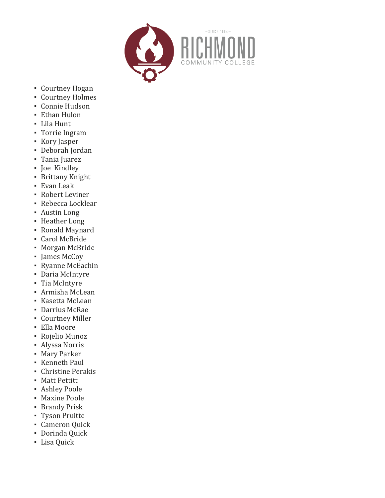

- Courtney Hogan
- Courtney Holmes
- **Connie Hudson**
- **Ethan Hulon**
- Lila Hunt
- Torrie Ingram
- Kory Jasper
- Deborah Jordan
- Tania Juarez
- Joe Kindley
- **•** Brittany Knight
- Evan Leak
- Robert Leviner
- **Rebecca Locklear**
- Austin Long
- **·** Heather Long
- Ronald Maynard
- Carol McBride
- Morgan McBride
- James McCoy
- Ryanne McEachin
- Daria McIntyre
- Tia McIntyre
- Armisha McLean
- Kasetta McLean
- Darrius McRae
- **Courtney Miller**
- Ella Moore
- Rojelio Munoz
- Alyssa Norris
- **Mary Parker**
- **Exempth Paul**
- Christine Perakis
- Matt Pettitt
- **Ashley Poole**
- **Maxine Poole**
- **·** Brandy Prisk
- Tyson Pruitte
- **Cameron Quick**
- **Dorinda Quick**
- **•** Lisa Quick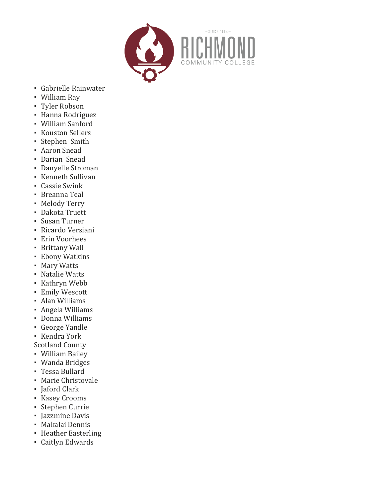

- **Gabrielle Rainwater**
- William Ray
- Tyler Robson
- Hanna Rodriguez
- William Sanford
- Kouston Sellers
- **Stephen Smith**
- **Aaron Snead**
- **Darian Snead**
- Danyelle Stroman
- **•** Kenneth Sullivan
- Cassie Swink
- **•** Breanna Teal
- **Melody Terry**
- Dakota Truett
- Susan Turner
- Ricardo Versiani
- Erin Voorhees
- **Brittany Wall**
- Ebony Watkins
- Mary Watts
- Natalie Watts
- Kathryn Webb
- **·** Emily Wescott
- **Alan Williams**
- Angela Williams
- Donna Williams
- George Yandle
- Kendra York

Scotland County

- William Bailey
- Wanda Bridges
- Tessa Bullard
- **Marie Christovale**
- Jaford Clark
- Kasey Crooms
- **Stephen Currie**
- Iazzmine Davis
- **Makalai Dennis**
- **Heather Easterling**
- Caitlyn Edwards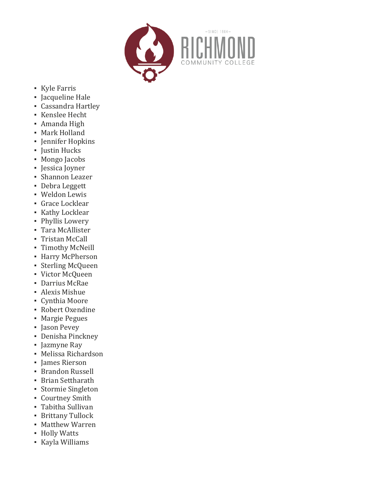

- Kyle Farris
- Jacqueline Hale
- **Cassandra Hartley**
- Kenslee Hecht
- Amanda High
- **Mark Holland**
- Jennifer Hopkins
- **·** Justin Hucks
- Mongo Jacobs
- Jessica Joyner
- **·** Shannon Leazer
- Debra Leggett
- Weldon Lewis
- **Grace Locklear**
- **·** Kathy Locklear
- · Phyllis Lowery
- Tara McAllister
- Tristan McCall
- Timothy McNeill
- **· Harry McPherson**
- **·** Sterling McQueen
- Victor McQueen
- Darrius McRae
- **•** Alexis Mishue
- Cynthia Moore
- **Robert Oxendine**
- **Margie Pegues**
- Jason Pevey
- Denisha Pinckney
- Jazmyne Ray
- Melissa Richardson
- James Rierson
- Brandon Russell
- **Brian Settharath**
- Stormie Singleton
- **Courtney Smith**
- Tabitha Sullivan
- **·** Brittany Tullock
- **Matthew Warren**
- Holly Watts
- Kayla Williams